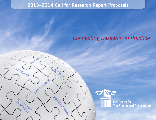# **2013–2014 Call for Research Report Proposals**

**MISSION SURPORT** 

PERFORMANCE

LEADERSHIP

SPRATEGINGS

TRANSOLATION &

RISH MANAGEMENT

# *Connecting Research to Practice*

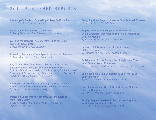# 2012 PUBLISHED REPORTS

**A Manager's Guide to Evaluating Citizen Participation** *By Tina Nabatchi, Syracuse University*

**Social Security in the BRIC Countries** *By Danny Pieters and Paul Schoukens, K.U. Leuven*

**Working the Network: A Manager's Guide for Using Twitter in Government** *By Ines Mergel, Syracuse University*

**Assessing the Value of Intelligence: Lessons for Leaders** *By Frank Strickland and Chris Whitlock, IBM*

**Key Actions That Contribute to Successful Program Implementation: Lessons from the Recovery Act** *By Richard Callahan (University of San Francisco), Sandra Archibald (University of Washington), Kay Sterner (University of Washington), and Brinton Milward (University of Arizona)*

**Improving Government Contracting: Lessons from Bid Protests of Department of Defense Source Selections** *By Steven Maser, Willamette University*

**Designing Collaborative Networks: Lessons Learned from Public Safety** *By Jane Fedorowicz (Bentley College), Steve Sawyer (Syracuse University)*

**Designing Open Projects: Lessons From Internet Pioneers** *By David T. Witzel, The EdgeLab*

**Empirically Based Intelligence Management: Using Operations Research to Improve Programmatic Decision Making**  *By Frank B. Strickland, Chris Whitlock, IBM*

**Recovery Act Transparency: Learning from States' Experiences** *By Francisca M. Rojas, Harvard Kennedy School*

**Collaboration Across Boundaries: Insights and Tips from Federal Senior Executives** *By Rosemary O'Leary, Catherine M. Gerard, Syracuse University*

**Challenge.gov: Using Competitions and Awards to Spur Innovation** *By Kevin C. Desouza, Arizona State University*

**Irregular Warfare at Sea: A Case Study on National Defense Choices** *By Frank B. Strickland, Chris Whitlock, IBM*

**Putting Irregular Warfare in Perspective Preparing for the New Norm of Conflict** *By Frank B. Strickland, Chris Whitlock, IBM*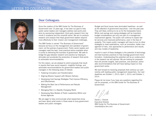### LETTER TO COLLEAGUES



### Dear Colleagues:

Since the creation of the IBM Center for The Business of Government over 15 years ago, it has been our goal to help public sector leaders and managers address real-world problems by sponsoring independent, third-party research from top minds in academe and the nonprofit sector. We aim to produce research and analysis that helps government leaders respond more effectively to their mission and management challenges.

The IBM Center is named "The Business of Government" because we focus on the management and operation of government, not the policies of government. Public sector leaders and managers need the best, most practical advice available when it comes to delivering the business of government. We seek to bridge the gap between research and practice by helping to stimulate and accelerate the production of research that points to actionable recommendations.

For this reason, we are pleased to solicit proposals that result in reports that have sound research, insightful findings, and actionable recommendations for government leaders and public managers in the following areas of interest:

- Fostering Innovation and Transformation
- Aligning Mission Support with Mission Delivery
- Developing Cost Savings Strategies That Improve Efficiency and Effectiveness
- Making the Best Use of Performance and Results Management
- Managing Risk in a Rapidly Changing World
- Developing New Models of Public Leadership Within and Across Agencies

We are eager to help communicate what researchers know and learn about what works in these areas to busy government leaders and public managers.

Budget and fiscal issues have dominated headlines—as well as the attention of government executives—over the past year. They will likely continue to do so for the foreseeable future. While cost savings and coping strategies will be important, budget considerations are only one part of a management improvement agenda. The public will continue to expect better services and improved performance, even in the face of austerity. This means public managers will have to turn to other strategies to meet expectations, such as innovation, better management of risks, new approaches to performance and results, and new models of leadership.

Implicit in each of these strategies is the potential of technology and best business practices to help leverage government transformation. Understanding this potential will be an undercurrent in the research we will sponsor. We are looking for proposals that will provide insights, best practices, and practical, actionable recommendations that will have lasting impact on how government works.

We look forward to receiving proposals that continue our partnership with leading public management researchers. Our next deadlines are October 1, 2013; April 1, 2014; and October 1, 2014.

Please let me know if you have any questions regarding this call for proposals, or the IBM Center for The Business of Government.

Daniel J. Chenok Executive Director IBM Center for The Business of Government chenokd@us.ibm.com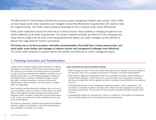The IBM Center for The Business of Government connects public management research with practice. Since 1998, we have helped public sector executives and managers improve the effectiveness of government with practical ideas and original thinking. The Center seeks to advance knowledge of how to improve public sector effectiveness.

Public sector institutions around the world are at a critical juncture. Fiscal austerity is changing the game for successful leadership at all levels of government. The Center's research priorities are reflective of the challenges and issues that we judge to be the most critical facing government leaders and public managers as they attempt to execute their organizational missions successfully.

**The Center has as its focus practical, actionable recommendations that build from a strong research base, and assist public sector leaders and managers to address mission and management challenges more effectively.** The Center seeks proposals to prepare reports that address the following six public management topics.

### 1. Fostering Innovation and Transformation

Leaders need to be able to explain what innovation is to agency employees in the context of their mission and be able to convey the importance of innovation and transformation to employees in ways that will be understood and adopted. Innovation can be viewed as new ideas, or current thinking applied in fundamentally different ways, resulting in significant change in operating models, business processes, or products and services. Transformation refers to broader, and more systemic, changes within an organization.

Both innovation and transformation initiatives rely on the use of a set of processes, tools, and culture. A recent trend is to create offices within agencies to lead innovation and transformation initiatives. Which innovation models lead to true transformation is still unclear, and measures of what constitutes success have yet to be well-defined.

The Center is interested in research that explores these different elements, together or separately, in ways that improve government operations or services to the public.

#### **Areas of interest and research questions include:**

- What emerging innovation trends and models should government leverage to improve operations and services? How do you manage the processes of innovation, including implementation?
- Case studies of agencies or organizations that have undertaken innovation, experimentation, or transformation initiatives, and the tools (such as social media, cloud computing, or big data) and lessons learned that could be applied by others, including how such efforts can be sustained over time.
- Understanding the roles of risk management, leadership support, culture, collaboration, and incentives to undertake innovation or transformation efforts from the organizational, individual, and mission perspectives. For example, how do successful innovators cultivate a culture of risk tolerance?
- Understanding methods for measuring the "return on investment" of innovation and transformation for mission performance, both prospectively and retrospectively.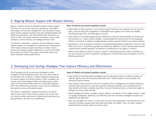### 2. Aligning Mission Support with Mission Delivery

Agency missions cannot be delivered without mission-support functions such as human resources, acquisition, information technology, and financial management. Over the past 25 years, these mission-support functions have been professionalized and oftentimes centralized, with their leaders often referred to as chiefs or CXOs and having statutory compliance, policy implementation, service delivery, and strategic advisory roles.

The Center is interested in research into how effective missiondelivery leaders can leverage the investment and infrastructure of the various mission-support functions to deliver mission results and improve program efficiencies, as well as how effective practices by CXOs in the public and private sectors can foster improved mission performance.

#### **Areas of interest and research questions include:**

- Case studies of best practices in how mission-support functions have evolved over the past 25 years, and how they have integrated or coordinated across agency and mission boundaries, including through intra- and inter-agency councils.
- Case studies of how federal agencies have defined the roles and responsibilities of mission support functions vs. mission delivery leaders. Understanding the evolving role of chief operating officers in serving as a catalyst or bridge between mission-support functions and mission delivery.
- Approaches—such as training, incentives, and business/organizational alignment—that can help CXOs move from a compliance approach (as defined by statutory or policy requirements) toward a performance-oriented approach (as defined by contributions to an agency's mission).
- What are the different models of mission support in state governments or other countries (e.g., the use of shared services or operations management councils) that could be applied in the U.S. federal government?

### 3. Developing Cost Savings Strategies That Improve Efficiency and Effectiveness

Fiscal austerity will be an enduring challenge for public managers for the foreseeable future, but it can also create an environment and incentives to rethink traditional approaches to mission support and service delivery. Public managers can harness major technological shifts and adapt proven, public sector and commercial best practices to make their agencies both more efficient and productive, and to conduct operations and provide services with greater speed.

The Center is interested in research focused on innovative ways to save costs in both mission support and service delivery, across multiple instruments of government spending (e.g., appropriations, user fees, tax expenditures).

#### **Areas of interest and research questions include:**

- Case studies of spending review strategies used by state governments and other countries, at both the agency level and the government-wide level. Identify patterns, best practices, and cautionary lessons learned.
- Case studies of best practices in the use of specific tools or strategies for accurately measuring and then reducing costs in a way that supports improved outcomes, such as advanced business analytics to reduce improper payments, the use of shared services, or incentives based on strategic sourcing or gain-sharing.
- What strategies are public managers using to adapt to uncertainty in the budget process in order to manage strategically, effectively and efficiently, and how can those strategies be shared and adapted across agencies?
- How can managers use "time" as a key metric to drive both performance improvement and cost reductions through a government that works both faster and better? How can rapid, iterative experimentation improve results and lower costs?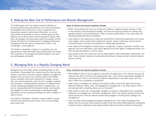### 4. Making the Best Use of Performance and Results Management

The federal government has placed sustained attention on improving performance and results for more than two decades. Its strategies have evolved from a focus on agencies and developing a supply of performance information, to a point where today the emphasis is more on selected goals and the effective use of data to inform real-time decision-making. New laws, technologies, and techniques make this possible, but the frontier still seems to be finding ways to integrate performance management into the culture of government, within—and increasingly—across agencies.

The Center is interested in research on incentives and new approaches to make information about performance and results truly impactful in driving agencies toward programs and activities with greatest net benefit.

#### **Areas of interest and research questions include:**

- What is the evolving role of the use of data and evidence in agency decision-making, in light of new statutory and technological changes, and how are they being linked into existing management systems and funding streams—often to improve performance in new ways while still operating existing activities successfully?
- Case studies of how agencies are using new performance-improvement approaches such behavioral insights, social impact bonds, performance grants, results contracting, real-time benchmarks/scorecards, and other non-traditional or cutting-edge approaches.
- Case studies of the integration of performance management, program evaluation, portfolio management, and cost information, both within agencies and across agency, intergovernmental, and even sectoral boundaries on common goals.
- Case studies of the use of new tools such as data analytics, data visualization, dashboards, and other "sense making" analytic and presentation techniques of large volumes of data to improve decision-making.

### 5. Managing Risk in a Rapidly Changing World

Managing risk in the public sphere increasingly takes on new dimensions. These extend from national security risks via cyberattacks, to economic risks from natural disasters, to budget and program risks, to privacy risk. However, government leaders lack an accepted culture and framework to manage, incorporate, and communicate risk, which tends to constrain creativity and innovation. Understanding the spectrum of different kinds of risks, developing strategies and tools to mitigate them—as well as incorporating them into decisionmaking—and developing strategies for communicating risks to appropriate target populations, will be a growing challenge for public managers in years to come.

The Center is interested in research on good models to assess inherent risks facing the public sector, and to act accordingly given those risks.

#### **Areas of interest and research questions include:**

- What different kinds of risks do agencies and public managers face—from national security and cybersecurity risks to financial and programmatic risks—and what are appropriate strategies for addressing them? How is risk defined by different stakeholders in the public sector, and how does it differ from uncertainty or probability?
- Case studies of strategies for creating a risk-tolerant culture, around the right kinds of risks. What are different models, tools, and strategies for managing risk in the public sector? How is risk balanced with competing values such as innovation?
- Case studies of ways risk is being better managed via analytics, high-performance computing, enterprise risk management, and threat management, both in the national security domain and across government. How are national leaders being engaged in thinking about strategic risk management?
- How can public sector managers and leaders understand risk in the context of programs they deliver, and how can they communicate the reality of that risk to their stakeholders and constituents so that the public understands value being provided relative to risk that is inherent in that value?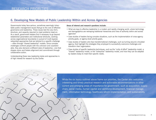### 6. Developing New Models of Public Leadership Within and Across Agencies

Governments today face serious, sometimes seemingly intractable public management issues that go to the core of effective governance and leadership. These issues test the very form, structure, and capacity required to meet problems head-on. As a result, government leaders find it necessary to go beyond established parameters and institutional strictures, working across organizational boundaries in pursuit of multi-layered, networked approaches that are tailored to a specific challenge —often through "shared leadership" models. Since complex challenges confront people with the unknown and unpredictable, they also demand a different style of leadership—one that shapes vision and fosters alignment and commitment through collaborative action.

Understanding these new leadership styles and approaches is of high interest for research by the Center.

#### **Areas of interest and research questions include:**

- What are keys to effective leadership in a modern and rapidly changing world, where technology and demographics are reshaping traditional hierarchies and lines of authority within and across agencies?
- Case studies of leaders facing complex situations, such as the implementation of cross-agency priority goals, or agency-level priority goals.
- Case studies of leaders who face transformational challenges, such as turning around a troubled agency, that highlight the strategies they employed to successfully overcome challenges and transform their organization.
- Case studies of specific leadership techniques, such as the "unity of effort" leadership model, a "shared" leadership model, or the "enterprise" leadership model, and how they can be adapted by leaders today to meet their specific needs.

While the six topics outlined above frame our priorities, the Center also welcomes interesting and timely practical research and actionable recommendations in other current and emerging areas of importance for government, such as acquisition, supply chain, social media, human capital and workforce development, financial management, information technology, healthcare reform implementation, and sustainability.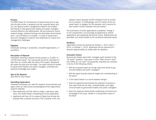### GUIDELINES

#### **Purpose**

The IBM Center for The Business of Government aims to tap into the best minds in academe and the nonprofit sector who can use rigorous public management research and analytic techniques to help government leaders and public managers improve efficiency and effectiveness. We are looking for sound research design, practical findings and actionable recommendations—not just theory or concepts—in order to assist executives and managers to respond more effectively to mission and management challenges.

#### **Eligibility**

Individuals working in universities, nonprofit organizations, or journalism.

#### **Description of Stipends**

Individuals receiving a stipend should produce a 10,000- to 12,000-word report. The manuscript should be submitted no later than six months after the start of the project. Recipients will select the start and end dates. The report should be written for government leaders and public managers, providing very practical knowledge and insight.

#### **Size of the Stipends**

\$20,000 for each report.

#### **Submitting Applications**

Interested individuals can read the research announcement and apply online at: http://www.businessofgovernment.org/content/ research-stipends:

- New applicants will first need to create a username, password, and profile before completing the online application.
- Applicants will then fill in a series of fields that include the proposal title, proposal summary (700 character limit), the

research report proposal (9,000 character limit) to include the (i) purpose, ii) methodology, and (iii) results of the proposed report, a category for the proposal, and a resume for each author (9,000 character limit per author).

The submission of online applications is preferred. Though it is not a requirement, we encourage all applicants to submit applications and supporting documents online. Attachments are permitted, but should adhere to the constraints described above.

#### **Deadlines**

Applications should be received by October 1, 2013; April 1, 2014, or October 1, 2014. Applicants will be informed of a decision approximately six weeks after the deadline.

#### **Evaluation Criteria**

Government leaders and public managers want answers to the "So what?" question. They want to know "Why should I care?" and "What do I do next?" Consequently, proposals are reviewed in terms of the following criteria:

- Will the proposed report be of high value and timely to government leaders and public managers?
- Will the report provide practical insight and understanding of the topic?
- Is the report based on a sound research design?
- Does the applicant demonstrate the potential to produce a final report that will be clear, understandable, and highly communicable to government leaders and public managers?
- Does the applicant demonstrate outstanding command and knowledge of the topic, based on a strong track record in the field?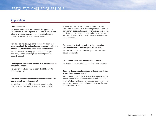### Application

#### **Can I apply online?**

Yes, online applications are preferred. To apply online, you first need to create a profile in our system. Please visit: http://www.businessofgovernment.org/content/researchstipends to learn more and to create an account.

#### **How do I log into the system to change my address or password, check the status of my proposal, or to submit a proposal if I already have a username and password?**

Visit our research stipend page and log into the system: http://www.businessofgovernment.org/content/ research-stipends

#### **Can the proposal or resume be more than 9,000 characters (about three pages)?**

No. Your proposal and resume each should be 9,000 characters or less.

#### **Does the Center only fund reports that are addressed to federal executives and managers?**

No. While a majority of the Center's reports are targeted to executives and managers in the U.S. federal government, we are also interested in reports that discuss new approaches to improving the effectiveness of government at state, local, and international levels. The most competitive proposals tend to be those that have a very strong "story" or are clearly generalizable to a very broad audience.

#### **Do you need to itemize a budget in the proposal or describe how the \$20,000 stipend will be used?**

No. The researcher can use the stipend however he/she deems appropriate.

#### **Can I submit more than one proposal at a time?**

No. Researchers are asked to submit only one proposal.

#### **Does the Center accept proposals for topics outside the scope of this announcement?**

Yes. However, most projects that receive stipends will be closely related to the themes outlined in this announcement. While we will consider proposals touching on other government management challenges, these are the areas of most interest to us.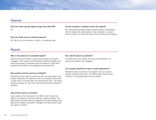### FREQUENTLY ASKED QUESTIONS

### **Stipends**

**Does the Center provide stipends larger than \$20,000?**  No.

#### **Does the Center pay for overhead expenses?**

No. We do not pay overhead, indirect, or operating costs.

### Reports

#### **Who is the audience for completed reports?**

Reports should be written for government leaders and public managers, with a goal of providing them practical insights, and where appropriate, actionable recommendations to help them improve the operation and management of government.

#### **How quickly must the report be completed?**

Recipients will be asked to select the start and end dates of the project. Recipients are asked to submit a completed manuscript no later than six months after the selected start date. The project should be started no later than three months after the stipend is awarded.

#### **How will the report be reviewed?**

Upon receipt of the manuscript, the IBM Center reviews the draft for consistency with the recipient's original proposal. The IBM Center may offer editorial suggestions to better address how government leaders and public managers will read and act upon the report's contents.

#### **Can the recipient's institution receive the stipend?**

Yes. Individuals receiving a stipend have the option of requesting that the stipend be paid directly to their institution. As noted above, however, no overhead costs will be included in the stipend.

#### **How will the report be published?**

The IBM Center will publish the report and distribute it to government leaders and managers.

#### **Can recipients publish the report in other publications?**

Recipients retain all rights to the research and can publish findings anywhere they wish. The IBM Center must be cited, however, for providing support for the project.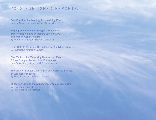## 2012 PUBLISHED REPORTS (continued)

**Best Practices for Leading Sustainability Efforts** *By Jonathan M. Estes, Facilities Solutions Group, LLC* 

**Forging Governmental Change: Lessons from Transformations Led by Robert Gates of DOD and Francis Collins of NIH** *By W. Henry Lambright, Syracuse University*

**From Data to Decisions II: Building an Analytics Culture** *By Partnership for Public Service* 

**Five Methods for Measuring Unobserved Events: A Case Study of Federal Law Enforcement** *By John Whitley, Institute for Defense Analyses*

**The Costs of Budget Uncertainty: Analyzing the Impact of Late Appropriations** *By Philip Joyce, University of Maryland*

**Mitigating Risks in the Application of Cloud Computing in Law Enforcement** *By Paul Wormeli, IJIS Institute*